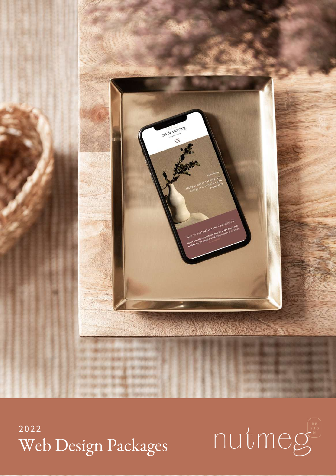

2022 Web Design Packages

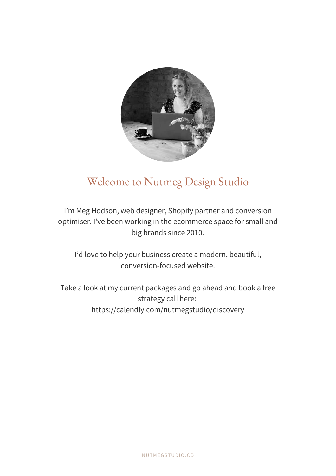

## Welcome to Nutmeg Design Studio

I'm Meg Hodson, web designer, Shopify partner and conversion optimiser. I've been working in the ecommerce space for small and big brands since 2010.

I'd love to help your business create a modern, beautiful, conversion-focused website.

Take a look at my current packages and go ahead and book a free strategy call here: <https://calendly.com/nutmegstudio/discovery>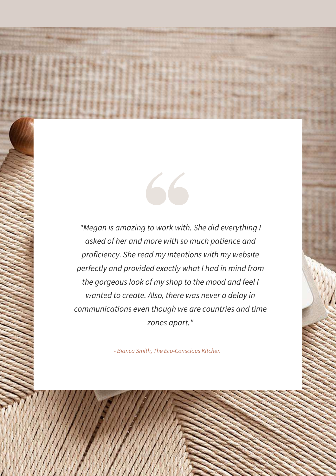*"Megan is amazing to work with. She did everything I asked of her and more with so much patience and proficiency. She read my intentions with my website perfectly and provided exactly what I had in mind from the gorgeous look of my shop to the mood and feel I wanted to create. Also, there was never a delay in communications even though we are countries and time zones apart."*

66

*- Bianca Smith, The Eco-Conscious Kitchen*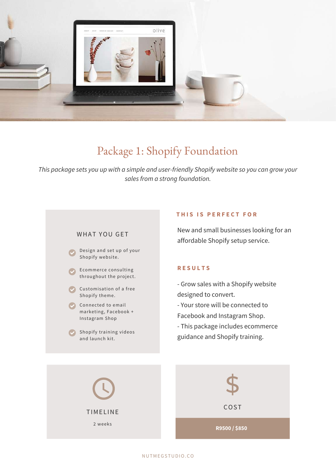

## Package 1: Shopify Foundation

*This package sets you up with a simple and user-friendly Shopify website so you can grow your sales from a strong foundation.*

#### WHAT YOU GET

- Design and set up of your Shopify website.
- Ecommerce consulting throughout the project.
- Customisation of a free Shopify theme.
- Connected to email marketing, Facebook + Instagram Shop
- Shopify training videos and launch kit.

#### **T H I S I S P E R F E C T F O R**

New and small businesses looking for an affordable Shopify setup service.

#### **R E S U L T S**

- Grow sales with a Shopify website designed to convert.
- Your store will be connected to
- Facebook and Instagram Shop.
- This package includes ecommerce guidance and Shopify training.

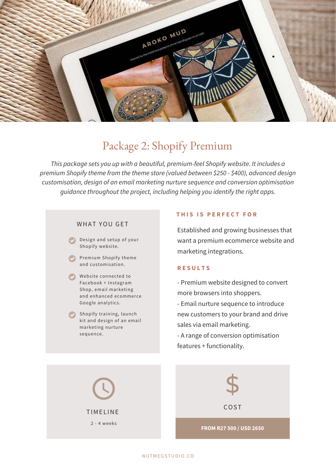

## Package 2: Shopify Premium

*This package sets you up with a beautiful, premium-feel Shopify website. It includes a premium Shopify theme from the theme store (valued between \$250 - \$400), advanced design customisation, design of an email marketing nurture sequence and conversion optimisation guidance throughout the project, including helping you identify the right apps.*

#### WHAT YOU GET

Design and setup of your Shopify website.

- Premium Shopify theme and customisation.
- Website connected to Facebook + Instagram Shop, email marketing and enhanced ecommerce Google analytics.
- Shopify training, launch kit and design of an email marketing nurture sequence.

#### **T H I S I S P E R F E C T F O R**

Established and growing businesses that want a premium ecommerce website and marketing integrations.

#### **R E S U L T S**

- Premium website designed to convert more browsers into shoppers.
- Email nurture sequence to introduce new customers to your brand and drive sales via email marketing.
- A range of conversion optimisation features + functionality.

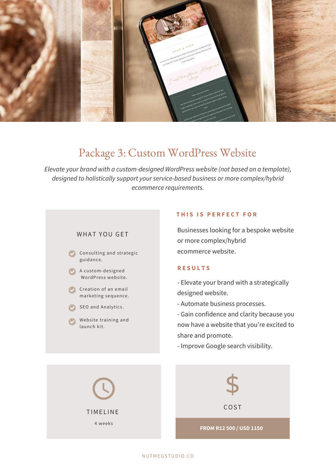

## Package 3: Custom WordPress Website

*Elevate your brand with a custom-designed WordPress website (not based on a template), designed to holistically support your service-based business or more complex/hybrid ecommerce requirements.*



#### **T H I S I S P E R F E C T F O R**

Businesses looking for a bespoke website or more complex/hybrid ecommerce website.

#### **R E S U L T S**

- Elevate your brand with a strategically designed website.

- Automate business processes.

- Gain confidence and clarity because you now have a website that you're excited to share and promote.

- Improve Google search visibility.

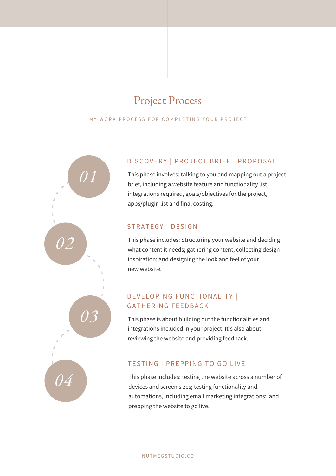## Project Process

MY WORK PROCESS FOR COMPLETING YOUR PROJECT



### DISCOVERY | PROJECT BRIEF | PROPOSAL

This phase involves: talking to you and mapping out a project brief, including a website feature and functionality list, integrations required, goals/objectives for the project, apps/plugin list and final costing.

### STRATEGY | DESIGN

This phase includes: Structuring your website and deciding what content it needs; gathering content; collecting design inspiration; and designing the look and feel of your new website.

### DEVELOPING FUNCTIONALITY | GATHERING FEEDBACK

This phase is about building out the functionalities and integrations included in your project. It's also about reviewing the website and providing feedback.

### TESTING | PREPPING TO GO LIVE

This phase includes: testing the website across a number of devices and screen sizes; testing functionality and automations, including email marketing integrations; and prepping the website to go live.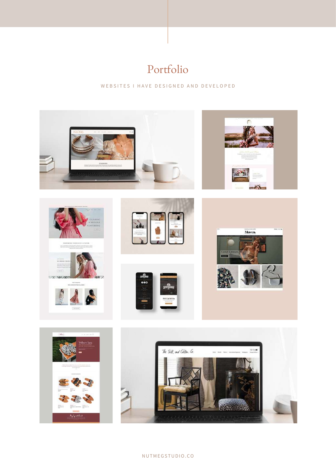# Portfolio

WE B S I T E S I HAVE DE S I G N E D A N D D E V E LO P E D